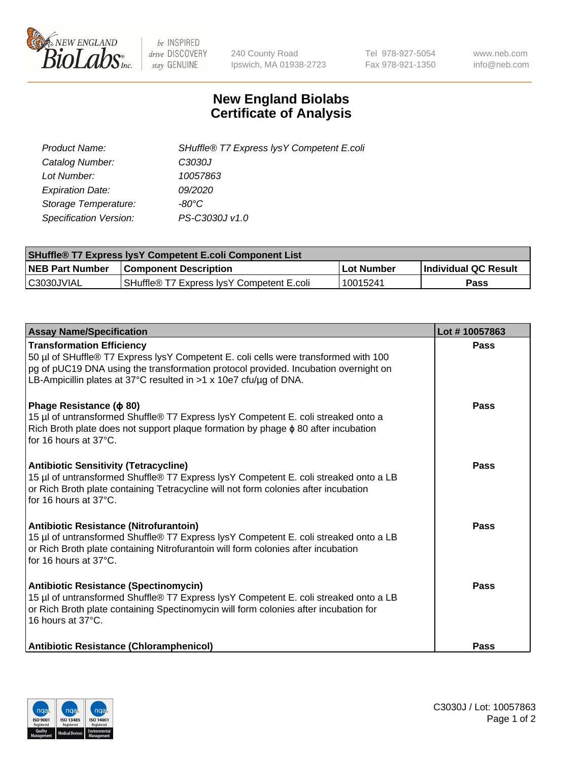

 $be$  INSPIRED drive DISCOVERY stay GENUINE

240 County Road Ipswich, MA 01938-2723 Tel 978-927-5054 Fax 978-921-1350 www.neb.com info@neb.com

## **New England Biolabs Certificate of Analysis**

| Product Name:           | SHuffle® T7 Express lysY Competent E.coli |
|-------------------------|-------------------------------------------|
| Catalog Number:         | C3030J                                    |
| Lot Number:             | 10057863                                  |
| <b>Expiration Date:</b> | 09/2020                                   |
| Storage Temperature:    | -80°C                                     |
| Specification Version:  | PS-C3030J v1.0                            |

| <b>SHuffle<sup>®</sup> T7 Express lysY Competent E.coli Component List</b> |                                           |              |                             |  |  |
|----------------------------------------------------------------------------|-------------------------------------------|--------------|-----------------------------|--|--|
| <b>NEB Part Number</b>                                                     | <b>Component Description</b>              | l Lot Number | <b>Individual QC Result</b> |  |  |
| C3030JVIAL                                                                 | SHuffle® T7 Express IvsY Competent E.coli | 10015241     | Pass                        |  |  |

| <b>Assay Name/Specification</b>                                                                                                                                                                                                                                                     | Lot #10057863 |
|-------------------------------------------------------------------------------------------------------------------------------------------------------------------------------------------------------------------------------------------------------------------------------------|---------------|
| <b>Transformation Efficiency</b><br>50 µl of SHuffle® T7 Express lysY Competent E. coli cells were transformed with 100<br>pg of pUC19 DNA using the transformation protocol provided. Incubation overnight on<br>LB-Ampicillin plates at 37°C resulted in >1 x 10e7 cfu/ug of DNA. | Pass          |
| Phage Resistance ( $\phi$ 80)<br>15 µl of untransformed Shuffle® T7 Express lysY Competent E. coli streaked onto a<br>Rich Broth plate does not support plaque formation by phage $\phi$ 80 after incubation<br>for 16 hours at 37°C.                                               | Pass          |
| <b>Antibiotic Sensitivity (Tetracycline)</b><br>15 µl of untransformed Shuffle® T7 Express lysY Competent E. coli streaked onto a LB<br>or Rich Broth plate containing Tetracycline will not form colonies after incubation<br>for 16 hours at 37°C.                                | Pass          |
| Antibiotic Resistance (Nitrofurantoin)<br>15 µl of untransformed Shuffle® T7 Express lysY Competent E. coli streaked onto a LB<br>or Rich Broth plate containing Nitrofurantoin will form colonies after incubation<br>for 16 hours at 37°C.                                        | Pass          |
| <b>Antibiotic Resistance (Spectinomycin)</b><br>15 µl of untransformed Shuffle® T7 Express lysY Competent E. coli streaked onto a LB<br>or Rich Broth plate containing Spectinomycin will form colonies after incubation for<br>16 hours at 37°C.                                   | Pass          |
| Antibiotic Resistance (Chloramphenicol)                                                                                                                                                                                                                                             | <b>Pass</b>   |